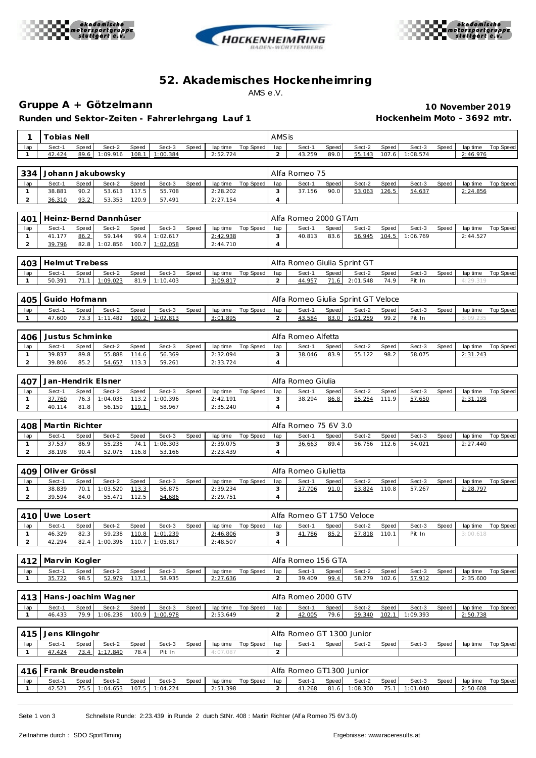





# **52. Akademisches Hockenhe imring** AMS e.V.

## **Gruppe A + Götzelmann 10 November 2019**

**Runden und Sektor-Zeiten - Fahrer lehrgang Lauf 1 Hockenheim Moto - 3692 mtr.**

| 1                              | <b>Tobias Nell</b>    |               |                              |                |                          | AMSis |                             |                    |                       |                                    |                      |                        |                |                    |       |                      |                  |
|--------------------------------|-----------------------|---------------|------------------------------|----------------|--------------------------|-------|-----------------------------|--------------------|-----------------------|------------------------------------|----------------------|------------------------|----------------|--------------------|-------|----------------------|------------------|
| lap                            | Sect-1                | Speed         | Sect-2                       | Speed          | Sect-3                   | Speed |                             | lap time Top Speed | lap                   | Sect-1                             | Speed                | Sect-2                 | Speed          | Sect-3             | Speed | lap time             | <b>Top Speed</b> |
| 1                              | 42.424                | 89.6          | 1:09.916                     | 108.1          | 1:00.384                 |       | 2:52.724                    |                    | $\overline{a}$        | 43.259                             | 89.0                 | 55.143                 | 107.6          | 1:08.574           |       | 2:46.976             |                  |
|                                |                       |               |                              |                |                          |       |                             |                    |                       |                                    |                      |                        |                |                    |       |                      |                  |
| 334                            |                       |               | Johann Jakubowsky            |                |                          |       |                             |                    |                       | Alfa Romeo 75                      |                      |                        |                |                    |       |                      |                  |
| lap                            | Sect-1<br>38.881      | Speed<br>90.2 | Sect-2                       | Speed<br>117.5 | Sect-3<br>55.708         | Speed | lap time                    | Top Speed          | lap<br>3              | Sect-1<br>37.156                   | Speed<br>90.0        | Sect-2<br>53.063       | Speed          | Sect-3             | Speed | lap time             | <b>Top Speed</b> |
| $\mathbf{1}$<br>$\overline{c}$ | 36.310                | 93.2          | 53.613<br>53.353             | 120.9          | 57.491                   |       | 2:28.202<br>2:27.154        |                    | $\overline{4}$        |                                    |                      |                        | 126.5          | 54.637             |       | 2:24.856             |                  |
|                                |                       |               |                              |                |                          |       |                             |                    |                       |                                    |                      |                        |                |                    |       |                      |                  |
| 401                            |                       |               | Heinz-Bernd Dannhüser        |                |                          |       |                             |                    | Alfa Romeo 2000 GTAm  |                                    |                      |                        |                |                    |       |                      |                  |
| lap                            | Sect-1                | Speed         | Sect-2                       | Speed          | Sect-3                   | Speed | lap time                    | Top Speed          | lap                   | Sect-1                             | Speed                | Sect-2                 | Speed          | Sect-3             | Speed | lap time             | <b>Top Speed</b> |
| $\mathbf{1}$                   | 41.177                | 86.2          | 59.144                       | 99.4           | 1:02.617                 |       | 2:42.938                    |                    | 3                     | 40.813                             | 83.6                 | 56.945                 | 104.5          | 1:06.769           |       | 2:44.527             |                  |
| $\overline{2}$                 | 39.796                | 82.8          | 1:02.856                     | 100.7          | 1:02.058                 |       | 2:44.710                    | $\overline{4}$     |                       |                                    |                      |                        |                |                    |       |                      |                  |
|                                |                       |               |                              |                |                          |       |                             |                    |                       |                                    |                      |                        |                |                    |       |                      |                  |
| 403                            | <b>Helmut Trebess</b> |               |                              |                |                          |       |                             |                    |                       | Alfa Romeo Giulia Sprint GT        |                      |                        |                |                    |       |                      |                  |
| lap<br>$\mathbf{1}$            | Sect-1<br>50.391      | Speed<br>71.1 | Sect-2<br>1:09.023           | Speed<br>81.9  | Sect-3<br>1:10.403       | Speed | lap time<br>3:09.817        | Top Speed          | lap<br>$\overline{a}$ | Sect-1<br>44.957                   | Speed<br>71.6        | Sect-2<br>2:01.548     | Speed<br>74.9  | Sect-3<br>Pit In   | Speed | lap time<br>4:29.319 | <b>Top Speed</b> |
|                                |                       |               |                              |                |                          |       |                             |                    |                       |                                    |                      |                        |                |                    |       |                      |                  |
| 405                            | Guido Hofmann         |               |                              |                |                          |       |                             |                    |                       | Alfa Romeo Giulia Sprint GT Veloce |                      |                        |                |                    |       |                      |                  |
| lap                            | Sect-1                | Speed         | Sect-2                       | Speed          | Sect-3                   | Speed | lap time                    | <b>Top Speed</b>   | lap                   | Sect-1                             | Speed                | Sect-2                 | Speed          | Sect-3             | Speed | lap time             | <b>Top Speed</b> |
| $\mathbf{1}$                   | 47.600                | 73.3          | 1:11.482                     | 100.2          | 1:02.813                 |       | 3:01.895                    |                    | $\overline{a}$        | 43.584                             | 83.0                 | 1:01.259               | 99.2           | Pit In             |       | 3:09.235             |                  |
|                                |                       |               |                              |                |                          |       |                             |                    |                       |                                    |                      |                        |                |                    |       |                      |                  |
| 406                            | Justus Schminke       |               |                              |                |                          |       |                             |                    |                       | Alfa Romeo Alfetta                 |                      |                        |                |                    |       |                      |                  |
| lap                            | Sect-1                | Speed         | Sect-2                       | Speed          | Sect-3                   | Speed | lap time                    | Top Speed          | lap                   | Sect-1                             | Speed                | Sect-2                 | Speed          | Sect-3             | Speed | lap time             | <b>Top Speed</b> |
| $\mathbf{1}$<br>$\overline{2}$ | 39.837<br>39.806      | 89.8<br>85.2  | 55.888<br>54.657             | 114.6<br>113.3 | 56.369<br>59.261         |       | 2:32.094<br>2:33.724        |                    | 3<br>$\overline{4}$   | 38.046                             | 83.9                 | 55.122                 | 98.2           | 58.075             |       | 2:31.243             |                  |
|                                |                       |               |                              |                |                          |       |                             |                    |                       |                                    |                      |                        |                |                    |       |                      |                  |
| 407                            |                       |               | Jan-Hendrik Elsner           |                |                          |       |                             |                    | Alfa Romeo Giulia     |                                    |                      |                        |                |                    |       |                      |                  |
| lap                            | Sect-1                | Speed         | Sect-2                       | Speed          | Sect-3                   | Speed | lap time                    | Top Speed          | lap                   | Sect-1                             | Speed                | Sect-2                 | Speed          | Sect-3             | Speed | lap time             | Top Speed        |
| $\mathbf{1}$                   | 37.760                | 76.3          | 1:04.035                     | 113.2          | 1:00.396                 |       | 2:42.191                    |                    | 3                     | 38.294                             | 86.8                 | 55.254                 | 111.9          | 57.650             |       | 2:31.198             |                  |
| 2                              | 40.114                | 81.8          | 56.159                       | 119.1          | 58.967                   |       | 2:35.240                    |                    | $\overline{4}$        |                                    |                      |                        |                |                    |       |                      |                  |
|                                |                       |               |                              |                |                          |       |                             |                    |                       |                                    |                      |                        |                |                    |       |                      |                  |
|                                |                       |               |                              |                |                          |       |                             |                    |                       |                                    |                      |                        |                |                    |       |                      |                  |
| 408                            | Martin Richter        |               |                              |                |                          |       |                             |                    |                       | Alfa Romeo 75 6V 3.0               |                      |                        |                |                    |       |                      |                  |
| lap                            | Sect-1                | Speed         | Sect-2                       | Speed          | Sect-3                   | Speed |                             | lap time Top Speed | lap                   | Sect-1                             | Speed                | Sect-2                 | Speed          | Sect-3             | Speed | lap time             | <b>Top Speed</b> |
| $\mathbf{1}$<br>$\overline{2}$ | 37.537<br>38.198      | 86.9<br>90.4  | 55.235<br>52.075             | 74.1<br>116.8  | 1:06.303<br>53.166       |       | 2:39.075<br>2:23.439        |                    | 3<br>4                | 36.663                             | 89.4                 | 56.756                 | 112.6          | 54.021             |       | 2:27.440             |                  |
|                                |                       |               |                              |                |                          |       |                             |                    |                       |                                    |                      |                        |                |                    |       |                      |                  |
| 409                            | Oliver Grössl         |               |                              |                |                          |       |                             |                    |                       | Alfa Romeo Giulietta               |                      |                        |                |                    |       |                      |                  |
| lap                            | Sect-1                | Speed         | Sect-2                       | Speed          | Sect-3                   | Speed | lap time                    | <b>Top Speed</b>   | lap                   | Sect-1                             | Speed                | Sect-2                 | Speed          | Sect-3             | Speed | lap time             | <b>Top Speed</b> |
| $\mathbf{1}$                   | 38.839                | 70.1          | 1:03.520                     | 113.3          | 56.875                   |       | 2:39.234                    |                    | 3                     | 37.706                             | 91.0                 | 53.824                 | 110.8          | 57.267             |       | 2:28.797             |                  |
| $\overline{c}$                 | 39.594                | 84.0          | 55.471                       | 112.5          | 54.686                   |       | 2:29.751                    |                    | $\overline{4}$        |                                    |                      |                        |                |                    |       |                      |                  |
|                                |                       |               |                              |                |                          |       |                             |                    |                       |                                    |                      |                        |                |                    |       |                      |                  |
| 410                            | Uwe Losert            |               |                              |                |                          |       |                             |                    |                       | Alfa Romeo GT 1750 Veloce          |                      |                        |                |                    |       |                      |                  |
| lap<br>1                       | Sect-1<br>46.329      | Speed<br>82.3 | Sect-2<br>59.238             | Speed          | Sect-3<br>110.8 1:01.239 | Speed | lap time<br><u>2:46.806</u> | Top Speed          | lap<br>3              | Sect-1<br><u>41.786</u>            | Speed<br><u>85.2</u> | Sect-2<br>57.818 110.1 | Speed          | Sect-3<br>Pit In   | Speed | lap time<br>3:00.618 | <b>Top Speed</b> |
| $\overline{a}$                 | 42.294                | 82.4          | 1:00.396 110.7 1:05.817      |                |                          |       | 2:48.507                    |                    | $\overline{4}$        |                                    |                      |                        |                |                    |       |                      |                  |
|                                |                       |               |                              |                |                          |       |                             |                    |                       |                                    |                      |                        |                |                    |       |                      |                  |
| 412                            | Marvin Kogler         |               |                              |                |                          |       |                             |                    |                       | Alfa Romeo 156 GTA                 |                      |                        |                |                    |       |                      |                  |
| lap                            | Sect-1                | Speed         | Sect-2                       | Speed          | Sect-3                   | Speed |                             | lap time Top Speed | lap                   | Sect-1                             | Speed                | Sect-2                 | Speed          | Sect-3             | Speed | lap time             | Top Speed        |
| $\mathbf{1}$                   | 35.722                | 98.5          | 52.979                       | 117.1          | 58.935                   |       | 2: 27.636                   |                    | $\overline{a}$        | 39.409                             | 99.4                 | 58.279                 | 102.6          | 57.912             |       | 2:35.600             |                  |
|                                |                       |               |                              |                |                          |       |                             |                    |                       |                                    |                      |                        |                |                    |       |                      |                  |
| 413                            |                       |               | Hans-Joachim Wagner          |                |                          |       |                             |                    |                       | Alfa Romeo 2000 GTV                |                      |                        |                |                    |       |                      |                  |
| lap<br>$\mathbf{1}$            | Sect-1<br>46.433      | Speed<br>79.9 | Sect-2<br>1:06.238           | Speed<br>100.9 | Sect-3<br>1:00.978       | Speed | 2:53.649                    | lap time Top Speed | lap<br>$\overline{a}$ | Sect-1<br>42.005                   | Speed<br>79.6        | Sect-2<br>59.340       | Speed<br>102.1 | Sect-3<br>1:09.393 | Speed | lap time<br>2:50.738 | <b>Top Speed</b> |
|                                |                       |               |                              |                |                          |       |                             |                    |                       |                                    |                      |                        |                |                    |       |                      |                  |
| 415                            | Jens Klingohr         |               |                              |                |                          |       |                             |                    |                       | Alfa Romeo GT 1300 Junior          |                      |                        |                |                    |       |                      |                  |
| lap                            | Sect-1                | Speed         | Sect-2                       | Speed          | Sect-3                   | Speed |                             | lap time Top Speed | lap                   | Sect-1                             | Speed                | Sect-2                 | Speed          | Sect-3             | Speed | lap time             | Top Speed        |
| $\mathbf{1}$                   | 47.424                | 73.4          | 1:17.840                     | 78.4           | Pit In                   |       | 4:07.087                    |                    | $\overline{2}$        |                                    |                      |                        |                |                    |       |                      |                  |
|                                |                       |               |                              |                |                          |       |                             |                    |                       |                                    |                      |                        |                |                    |       |                      |                  |
| 416<br>lap                     | Sect-1                | Speed         | Frank Breudenstein<br>Sect-2 | Speed          | Sect-3                   | Speed | lap time                    | Top Speed          | lap                   | Alfa Romeo GT1300 Junior<br>Sect-1 | Speed                | Sect-2                 | Speed          | Sect-3             | Speed | lap time             | Top Speed        |

Seite 1 von 3 Schnelste Runde: 2:23.439 in Runde 2 durch StNr. 408 : Martin Richter (Alf a Romeo 75 6V 3.0)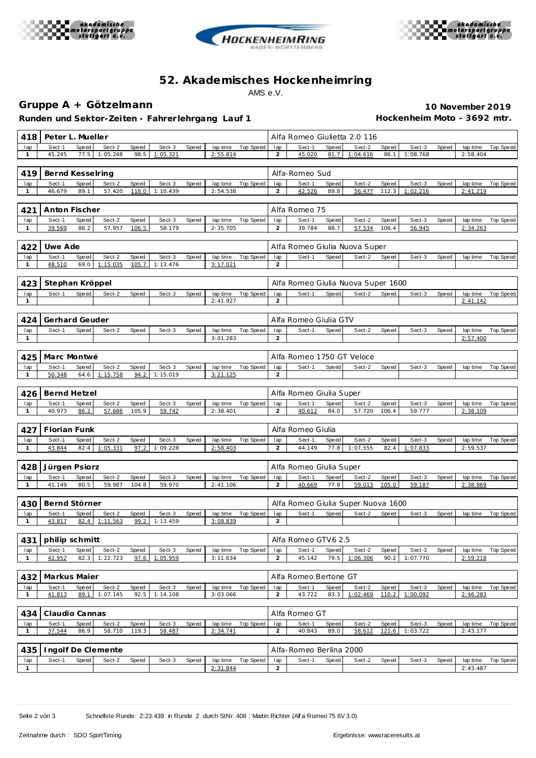





# **52. Akademisches Hockenhe imring** AMS e.V.

## **Gruppe A + Götzelmann 10 November 2019**

Runden und Sektor-Zeiten - Fahrer lehrgang Lauf 1 **Hockenheim Moto - 3692 mtr.** 

| 418                 | Peter L. Mueller |       |                    |       |          |       |                      |                    |                       | Alfa Romeo Giulietta 2.0 116 |       |                                    |       |          |       |                      |                    |
|---------------------|------------------|-------|--------------------|-------|----------|-------|----------------------|--------------------|-----------------------|------------------------------|-------|------------------------------------|-------|----------|-------|----------------------|--------------------|
| lap                 | Sect-1           | Speed | Sect-2             | Speed | Sect-3   | Speed | lap time             | Top Speed          | lap                   | Sect-1                       | Speed | Sect-2                             | Speed | Sect-3   | Speed | lap time             | Top Speed          |
| $\mathbf{1}$        | 45.245           | 77.5  | 1:05.248           | 98.5  | 1:05.321 |       | 2:55.814             |                    | 2                     | 45.020                       | 81.7  | 1:04.616                           | 86.1  | 1:08.768 |       | 2:58.404             |                    |
|                     |                  |       |                    |       |          |       |                      |                    |                       |                              |       |                                    |       |          |       |                      |                    |
| 419                 | Bernd Kesselring |       |                    |       |          |       |                      |                    |                       | Alfa-Romeo Sud               |       |                                    |       |          |       |                      |                    |
| lap                 | Sect-1           | Speed | Sect-2             | Speed | Sect-3   | Speed | lap time             | <b>Top Speed</b>   | lap                   | Sect-1                       | Speed | Sect-2                             | Speed | Sect-3   | Speed | lap time             | Top Speed          |
| $\mathbf{1}$        | 46.679           | 89.1  | 57.420             | 118.0 | 1:10.439 |       | 2:54.538             |                    | 2                     | 42.526                       | 89.8  | 56.477                             | 112.3 | 1:02.216 |       | 2:41.219             |                    |
|                     |                  |       |                    |       |          |       |                      |                    |                       |                              |       |                                    |       |          |       |                      |                    |
| 421                 | Anton Fischer    |       |                    |       |          |       |                      |                    |                       | Alfa Romeo 75                |       |                                    |       |          |       |                      |                    |
| lap                 | Sect-1           | Speed | Sect-2             | Speed | Sect-3   | Speed | lap time             | <b>Top Speed</b>   | lap                   | Sect-1                       | Speed | Sect-2                             | Speed | Sect-3   | Speed | lap time             | Top Speed          |
| $\mathbf{1}$        | 39.569           | 88.2  | 57.957             | 106.5 | 58.179   |       | 2:35.705             |                    | 2                     | 39.784                       | 88.7  | 57.534                             | 106.4 | 56.945   |       | 2:34.263             |                    |
|                     |                  |       |                    |       |          |       |                      |                    |                       |                              |       |                                    |       |          |       |                      |                    |
| 422                 | Uwe Ade          |       |                    |       |          |       |                      |                    |                       |                              |       | Alfa Romeo Giulia Nuova Super      |       |          |       |                      |                    |
| lap                 | Sect-1           | Speed | Sect-2             | Speed | Sect-3   | Speed | lap time             | <b>Top Speed</b>   | lap                   | Sect-1                       | Speed | Sect-2                             | Speed | Sect-3   | Speed | lap time             | Top Speed          |
| 1                   | 48.510           | 69.0  | 1:15.035           | 105.7 | 1:13.476 |       | 3:17.021             |                    | 2                     |                              |       |                                    |       |          |       |                      |                    |
|                     |                  |       |                    |       |          |       |                      |                    |                       |                              |       |                                    |       |          |       |                      |                    |
| 423                 | Stephan Kröppel  |       |                    |       |          |       |                      |                    |                       |                              |       | Alfa Romeo Giulia Nuova Super 1600 |       |          |       |                      |                    |
| lap                 | Sect-1           | Speed | Sect-2             | Speed | Sect-3   | Speed | lap time             | Top Speed          | lap                   | Sect-1                       | Speed | Sect-2                             | Speed | Sect-3   | Speed | lap time             | Top Speed          |
| $\mathbf{1}$        |                  |       |                    |       |          |       | 2:41.927             |                    | 2                     |                              |       |                                    |       |          |       | 2:41.142             |                    |
|                     |                  |       |                    |       |          |       |                      |                    |                       |                              |       |                                    |       |          |       |                      |                    |
| 424                 | Gerhard Geuder   |       |                    |       |          |       |                      |                    |                       | Alfa Romeo Giulia GTV        |       |                                    |       |          |       |                      |                    |
| lap                 | Sect-1           | Speed | Sect-2             | Speed | Sect-3   | Speed | lap time             | <b>Top Speed</b>   | lap                   | Sect-1                       | Speed | Sect-2                             | Speed | Sect-3   | Speed | lap time             | Top Speed          |
| $\mathbf{1}$        |                  |       |                    |       |          |       | 3:01.283             |                    | 2                     |                              |       |                                    |       |          |       | 2:57.400             |                    |
|                     |                  |       |                    |       |          |       |                      |                    |                       |                              |       |                                    |       |          |       |                      |                    |
| 425                 | Marc Montwé      |       |                    |       |          |       |                      |                    |                       | Alfa Romeo 1750 GT Veloce    |       |                                    |       |          |       |                      |                    |
| lap                 | Sect-1           | Speed | Sect-2             | Speed | Sect-3   | Speed | lap time             | Top Speed          | lap                   | Sect-1                       | Speed | Sect-2                             | Speed | Sect-3   | Speed | lap time             | Top Speed          |
| $\mathbf{1}$        | 50.348           | 64.6  | 1:15.758           | 94.2  | 1:15.019 |       | 3:21.125             |                    | $\overline{2}$        |                              |       |                                    |       |          |       |                      |                    |
|                     |                  |       |                    |       |          |       |                      |                    |                       |                              |       |                                    |       |          |       |                      |                    |
| 426                 | Bernd Hetzel     |       |                    |       |          |       |                      |                    |                       | Alfa Romeo Giulia Super      |       |                                    |       |          |       |                      |                    |
| lap                 | Sect-1           | Speed | Sect-2             | Speed | Sect-3   | Speed | lap time             | Top Speed          | lap                   | Sect-1                       | Speed | Sect-2                             | Speed | Sect-3   | Speed | lap time             | Top Speed          |
| $\mathbf{1}$        | 40.973           | 86.2  | 57.686             | 105.9 | 59.742   |       | 2:38.401             |                    | 2                     | 40.612                       | 84.0  | 57.720                             | 106.4 | 59.777   |       | 2:38.109             |                    |
|                     |                  |       |                    |       |          |       |                      |                    |                       |                              |       |                                    |       |          |       |                      |                    |
| 427                 | Florian Funk     |       |                    |       |          |       |                      |                    |                       | Alfa Romeo Giulia            |       |                                    |       |          |       |                      |                    |
| lap                 | Sect-1           | Speed | Sect-2             | Speed | Sect-3   | Speed | lap time             | Top Speed          | lap                   | Sect-1                       | Speed | Sect-2                             | Speed | Sect-3   | Speed | lap time             | Top Speed          |
| 1                   | 43.844           | 82.4  | 1:05.331           | 97.2  | 1:09.228 |       | 2:58.403             |                    | 2                     | 44.149                       | 77.8  | 1:07.555                           | 82.4  | 1:07.833 |       | 2:59.537             |                    |
|                     |                  |       |                    |       |          |       |                      |                    |                       |                              |       |                                    |       |          |       |                      |                    |
| 428                 | Jürgen Psiorz    |       |                    |       |          |       |                      |                    |                       | Alfa Romeo Giulia Super      |       |                                    |       |          |       |                      |                    |
| lap                 | Sect-1           | Speed | Sect-2             | Speed | Sect-3   | Speed | lap time             | Top Speed          | lap                   | Sect-1                       | Speed | Sect-2                             | Speed | Sect-3   | Speed | lap time             | Top Speed          |
| $\mathbf{1}$        | 41.149           | 80.5  | 59.987             | 104.8 | 59.970   |       | 2:41.106             |                    | $\overline{2}$        | 40.669                       | 77.8  | 59.013                             | 105.0 | 59.187   |       | 2:38.869             |                    |
|                     |                  |       |                    |       |          |       |                      |                    |                       |                              |       |                                    |       |          |       |                      |                    |
| 430                 | Bernd Störner    |       |                    |       |          |       |                      |                    |                       |                              |       | Alfa Romeo Giulia Super Nuova 1600 |       |          |       |                      |                    |
| lap                 | Sect-1           | Speed | Sect-2             | Speed | Sect-3   | Speed | lap time             | Top Speed          | lap                   | Sect-1                       | Speed | Sect-2                             | Speed | Sect-3   | Speed | lap time             | Top Speed          |
| 1                   | 43.817           | 82.4  | 1:11.563           | 99.2  | 1:13.459 |       | 3:08.839             |                    | $\overline{2}$        |                              |       |                                    |       |          |       |                      |                    |
|                     |                  |       |                    |       |          |       |                      |                    |                       |                              |       |                                    |       |          |       |                      |                    |
| 431                 |                  |       |                    |       |          |       |                      |                    |                       | Alfa Romeo GTV6 2.5          |       |                                    |       |          |       |                      |                    |
|                     |                  |       |                    |       |          |       |                      |                    |                       |                              |       |                                    |       |          |       |                      |                    |
|                     | philip schmitt   |       |                    |       |          |       |                      |                    |                       |                              |       |                                    |       |          |       |                      |                    |
| lap                 | Sect-1           | Speed | Sect-2             | Speed | Sect-3   | Speed |                      | lap time Top Speed | lap                   | Sect-1                       | Speed | Sect-2                             | Speed | Sect-3   | Speed | lap time             | Top Speed          |
| $\mathbf{1}$        | 42.952           | 82.3  | 1:22.723           | 97.6  | 1:05.959 |       | 3:11.634             |                    | $\overline{2}$        | 45.142                       | 79.5  | 1:06.306                           | 90.2  | 1:07.770 |       | 2:59.218             |                    |
|                     |                  |       |                    |       |          |       |                      |                    |                       |                              |       |                                    |       |          |       |                      |                    |
| 432                 | Markus Maier     |       |                    |       |          |       |                      |                    |                       | Alfa Romeo Bertone GT        |       |                                    |       |          |       |                      |                    |
| lap                 | Sect-1           | Speed | Sect-2             | Speed | Sect-3   | Speed | lap time             | Top Speed          | lap                   | Sect-1                       | Speed | Sect-2                             | Speed | Sect-3   | Speed | lap time             | Top Speed          |
| $\mathbf{1}$        | 41.813           | 89.1  | 1:07.145           | 92.5  | 1:14.108 |       | 3:03.066             |                    | 2                     | 43.722                       | 83.3  | 1:02.469                           | 110.2 | 1:00.092 |       | 2:46.283             |                    |
|                     |                  |       |                    |       |          |       |                      |                    |                       |                              |       |                                    |       |          |       |                      |                    |
| 434                 | Claudio Cannas   |       |                    |       |          |       |                      |                    |                       | Alfa Romeo GT                |       |                                    |       |          |       |                      |                    |
| lap                 | Sect-1           | Speed | Sect-2             | Speed | Sect-3   | Speed | lap time             | Top Speed          | lap                   | Sect-1                       | Speed | Sect-2                             | Speed | Sect-3   | Speed |                      | lap time Top Speed |
| $\mathbf{1}$        | 37.544           | 86.9  | 58.710             | 119.3 | 58.487   |       | 2:34.741             |                    | 2                     | 40.843                       | 89.0  | 58.612                             | 121.6 | 1:03.722 |       | 2:43.177             |                    |
|                     |                  |       |                    |       |          |       |                      |                    |                       |                              |       |                                    |       |          |       |                      |                    |
| 435                 |                  |       | Ingolf De Clemente |       |          |       |                      |                    |                       | Alfa-Romeo Berlina 2000      |       |                                    |       |          |       |                      |                    |
| lap<br>$\mathbf{1}$ | Sect-1           | Speed | Sect-2             | Speed | Sect-3   | Speed | lap time<br>2:31.844 | Top Speed          | lap<br>$\overline{2}$ | Sect-1                       | Speed | Sect-2                             | Speed | Sect-3   | Speed | lap time<br>2:43.487 | Top Speed          |

Seite 2 von 3 Schnelste Runde: 2:23.439 in Runde 2 durch StNr. 408 : Martin Richter (Alf a Romeo 75 6V 3.0)